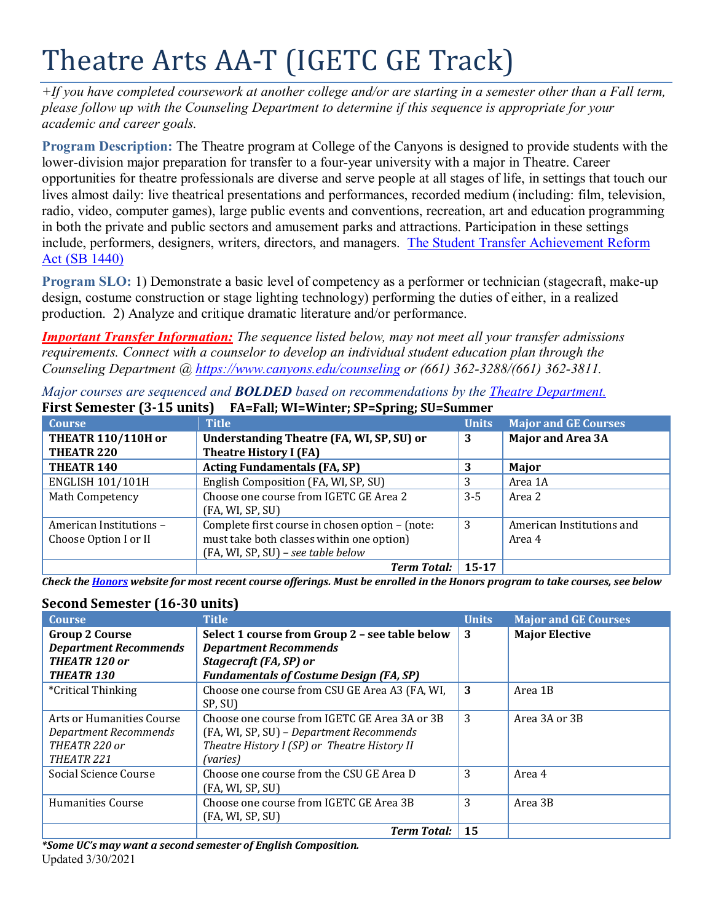# Theatre Arts AA-T (IGETC GE Track)

*+If you have completed coursework at another college and/or are starting in a semester other than a Fall term, please follow up with the Counseling Department to determine if this sequence is appropriate for your academic and career goals.* 

**Program Description:** The Theatre program at College of the Canyons is designed to provide students with the lower-division major preparation for transfer to a four-year university with a major in Theatre. Career opportunities for theatre professionals are diverse and serve people at all stages of life, in settings that touch our lives almost daily: live theatrical presentations and performances, recorded medium (including: film, television, radio, video, computer games), large public events and conventions, recreation, art and education programming in both the private and public sectors and amusement parks and attractions. Participation in these settings include, performers, designers, writers, directors, and managers. [The Student Transfer Achievement Reform](https://www2.calstate.edu/apply/transfer/Pages/ccc-associate-degree-for-transfer.aspx)  [Act \(SB 1440\)](https://www2.calstate.edu/apply/transfer/Pages/ccc-associate-degree-for-transfer.aspx)

**Program SLO:** 1) Demonstrate a basic level of competency as a performer or technician (stagecraft, make-up design, costume construction or stage lighting technology) performing the duties of either, in a realized production. 2) Analyze and critique dramatic literature and/or performance.

*Important Transfer Information: The sequence listed below, may not meet all your transfer admissions requirements. Connect with a counselor to develop an individual student education plan through the Counseling Department @<https://www.canyons.edu/counseling> or (661) 362-3288/(661) 362-3811.*

| <b>Course</b>             | <b>Title</b>                                    | <b>Units</b> | <b>Major and GE Courses</b> |
|---------------------------|-------------------------------------------------|--------------|-----------------------------|
| <b>THEATR 110/110H or</b> | Understanding Theatre (FA, WI, SP, SU) or       | 3            | <b>Major and Area 3A</b>    |
| THEATR <sub>220</sub>     | <b>Theatre History I (FA)</b>                   |              |                             |
| THEATR <sub>140</sub>     | <b>Acting Fundamentals (FA, SP)</b>             | 3            | Major                       |
| <b>ENGLISH 101/101H</b>   | English Composition (FA, WI, SP, SU)            | 3            | Area 1A                     |
| Math Competency           | Choose one course from IGETC GE Area 2          | $3 - 5$      | Area 2                      |
|                           | (FA, WI, SP, SU)                                |              |                             |
| American Institutions -   | Complete first course in chosen option - (note: | 3            | American Institutions and   |
| Choose Option I or II     | must take both classes within one option)       |              | Area 4                      |
|                           | (FA, WI, SP, SU) - see table below              |              |                             |
|                           | <b>Term Total:</b>                              | $15 - 17$    |                             |

*Major courses are sequenced and BOLDED based on recommendations by the [Theatre Department.](https://www.canyons.edu/academics/theatre/)* **First Semester (3-15 units) FA=Fall; WI=Winter; SP=Spring; SU=Summer**

*Check the [Honors](https://www.canyons.edu/academics/honors/index.php) website for most recent course offerings. Must be enrolled in the Honors program to take courses, see below*

## **Second Semester (16-30 units)**

| becona bennester (10 bo annus) |                                                |              |                             |
|--------------------------------|------------------------------------------------|--------------|-----------------------------|
| <b>Course</b>                  | <b>Title</b>                                   | <b>Units</b> | <b>Major and GE Courses</b> |
| <b>Group 2 Course</b>          | Select 1 course from Group 2 - see table below | 3            | <b>Major Elective</b>       |
| <b>Department Recommends</b>   | <b>Department Recommends</b>                   |              |                             |
| THEATR 120 or                  | Stagecraft (FA, SP) or                         |              |                             |
| <b>THEATR 130</b>              | <b>Fundamentals of Costume Design (FA, SP)</b> |              |                             |
| *Critical Thinking             | Choose one course from CSU GE Area A3 (FA, WI, | 3            | Area 1B                     |
|                                | SP, SU)                                        |              |                             |
| Arts or Humanities Course      | Choose one course from IGETC GE Area 3A or 3B  | 3            | Area 3A or 3B               |
| Department Recommends          | (FA, WI, SP, SU) – Department Recommends       |              |                             |
| THEATR 220 or                  | Theatre History I (SP) or Theatre History II   |              |                             |
| THEATR 221                     | (varies)                                       |              |                             |
| Social Science Course          | Choose one course from the CSU GE Area D       | 3            | Area 4                      |
|                                | (FA, WI, SP, SU)                               |              |                             |
| Humanities Course              | Choose one course from IGETC GE Area 3B        | 3            | Area 3B                     |
|                                | (FA, WI, SP, SU)                               |              |                             |
|                                | <b>Term Total:</b>                             | 15           |                             |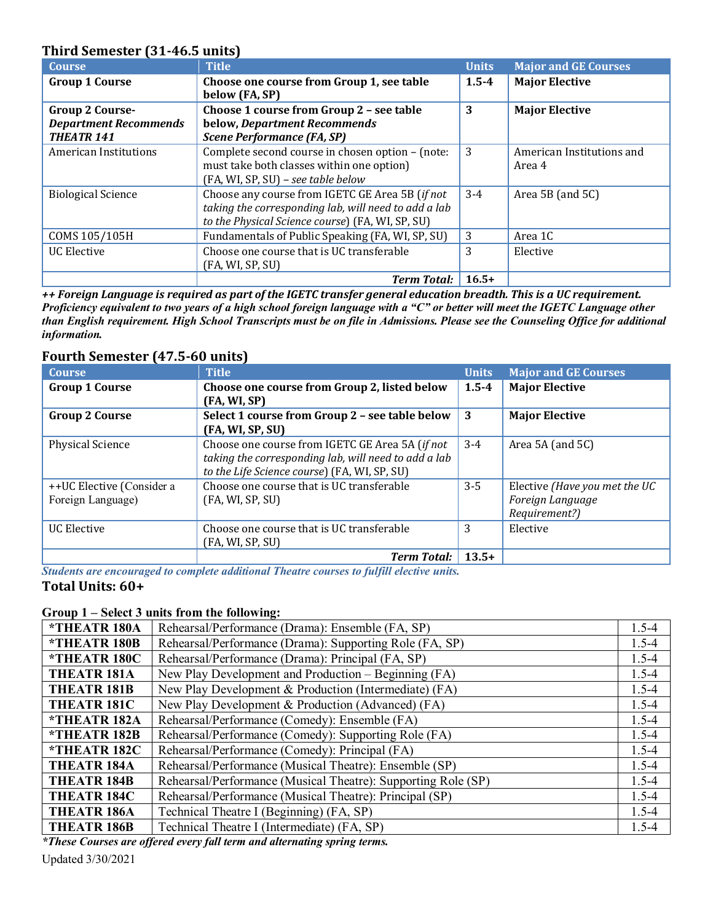## **Third Semester (31-46.5 units)**

| <b>Course</b>                                                        | <b>Title</b>                                                                                                                                                | <b>Units</b> | <b>Major and GE Courses</b>         |
|----------------------------------------------------------------------|-------------------------------------------------------------------------------------------------------------------------------------------------------------|--------------|-------------------------------------|
| <b>Group 1 Course</b>                                                | Choose one course from Group 1, see table<br>below (FA, SP)                                                                                                 | $1.5 - 4$    | <b>Major Elective</b>               |
| Group 2 Course-<br><b>Department Recommends</b><br><b>THEATR 141</b> | Choose 1 course from Group 2 - see table<br>below, Department Recommends<br><b>Scene Performance (FA, SP)</b>                                               | 3            | <b>Major Elective</b>               |
| American Institutions                                                | Complete second course in chosen option - (note:<br>must take both classes within one option)<br>(FA, WI, SP, SU) - see table below                         | 3            | American Institutions and<br>Area 4 |
| <b>Biological Science</b>                                            | Choose any course from IGETC GE Area 5B (if not<br>taking the corresponding lab, will need to add a lab<br>to the Physical Science course) (FA, WI, SP, SU) | $3-4$        | Area 5B (and 5C)                    |
| COMS 105/105H                                                        | Fundamentals of Public Speaking (FA, WI, SP, SU)                                                                                                            | 3            | Area 1C                             |
| <b>UC</b> Elective                                                   | Choose one course that is UC transferable<br>(FA, WI, SP, SU)                                                                                               | 3            | Elective                            |
|                                                                      | <b>Term Total:</b>                                                                                                                                          | $16.5+$      |                                     |

*++ Foreign Language is required as part of the IGETC transfer general education breadth. This is a UC requirement. Proficiency equivalent to two years of a high school foreign language with a "C" or better will meet the IGETC Language other than English requirement. High School Transcripts must be on file in Admissions. Please see the Counseling Office for additional information.*

## **Fourth Semester (47.5-60 units)**

| <b>Course</b>             | <b>Title</b>                                         | <b>Units</b> | <b>Major and GE Courses</b>   |
|---------------------------|------------------------------------------------------|--------------|-------------------------------|
| <b>Group 1 Course</b>     | Choose one course from Group 2, listed below         | $1.5 - 4$    | <b>Major Elective</b>         |
|                           | (FA, WI, SP)                                         |              |                               |
| <b>Group 2 Course</b>     | Select 1 course from Group 2 - see table below       | 3            | <b>Major Elective</b>         |
|                           | (FA, WI, SP, SU)                                     |              |                               |
| <b>Physical Science</b>   | Choose one course from IGETC GE Area 5A (if not      | $3 - 4$      | Area 5A (and 5C)              |
|                           | taking the corresponding lab, will need to add a lab |              |                               |
|                           | to the Life Science course) (FA, WI, SP, SU)         |              |                               |
| ++UC Elective (Consider a | Choose one course that is UC transferable            | $3-5$        | Elective (Have you met the UC |
| Foreign Language)         | (FA, WI, SP, SU)                                     |              | Foreign Language              |
|                           |                                                      |              | Requirement?)                 |
| UC Elective               | Choose one course that is UC transferable            | 3            | Elective                      |
|                           | (FA, WI, SP, SU)                                     |              |                               |
|                           | <b>Term Total:</b>                                   | $13.5+$      |                               |

*Students are encouraged to complete additional Theatre courses to fulfill elective units.*  **Total Units: 60+**

#### **Group 1 – Select 3 units from the following:**

| *THEATR 180A               | Rehearsal/Performance (Drama): Ensemble (FA, SP)              | $1.5 - 4$ |
|----------------------------|---------------------------------------------------------------|-----------|
| <i><b>*THEATR 180B</b></i> | Rehearsal/Performance (Drama): Supporting Role (FA, SP)       | $1.5 - 4$ |
| *THEATR 180C               | Rehearsal/Performance (Drama): Principal (FA, SP)             | $1.5 - 4$ |
| THEATR <sub>181A</sub>     | New Play Development and Production – Beginning (FA)          | $1.5 - 4$ |
| <b>THEATR 181B</b>         | New Play Development & Production (Intermediate) (FA)         | $1.5 - 4$ |
| THEATR <sub>181C</sub>     | New Play Development & Production (Advanced) (FA)             | $1.5 - 4$ |
| *THEATR 182A               | Rehearsal/Performance (Comedy): Ensemble (FA)                 | $1.5 - 4$ |
| *THEATR 182B               | Rehearsal/Performance (Comedy): Supporting Role (FA)          | $1.5 - 4$ |
| *THEATR 182C               | Rehearsal/Performance (Comedy): Principal (FA)                | $1.5 - 4$ |
| THEATR <sub>184A</sub>     | Rehearsal/Performance (Musical Theatre): Ensemble (SP)        | $1.5 - 4$ |
| <b>THEATR 184B</b>         | Rehearsal/Performance (Musical Theatre): Supporting Role (SP) | $1.5 - 4$ |
| <b>THEATR 184C</b>         | Rehearsal/Performance (Musical Theatre): Principal (SP)       | $1.5 - 4$ |
| <b>THEATR 186A</b>         | Technical Theatre I (Beginning) (FA, SP)                      | $1.5 - 4$ |
| <b>THEATR 186B</b>         | Technical Theatre I (Intermediate) (FA, SP)                   | $1.5 - 4$ |

*\*These Courses are offered every fall term and alternating spring terms.*